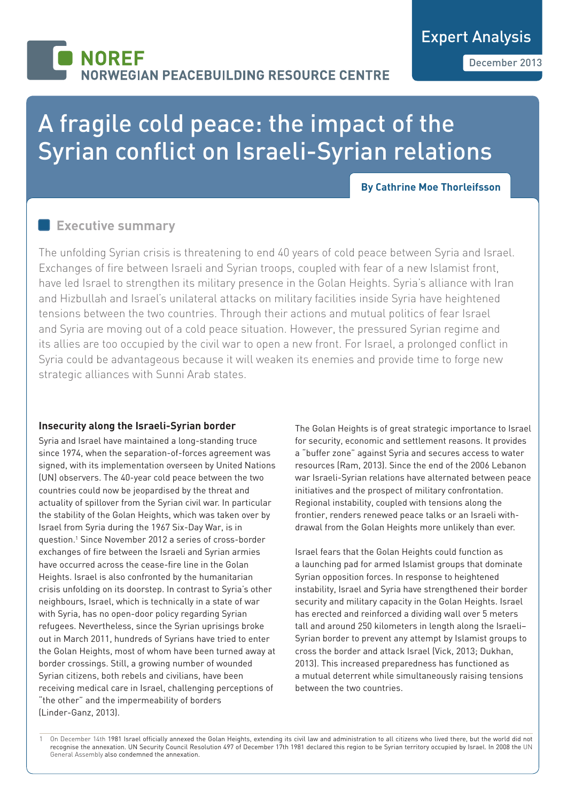## **NOREF** *VEGIAN PEACEBUILDING RESOURCE CENTRE*

# A fragile cold peace: the impact of the Syrian conflict on Israeli-Syrian relations

#### **By Cathrine Moe Thorleifsson**

## **Executive summary**

The unfolding Syrian crisis is threatening to end 40 years of cold peace between Syria and Israel. Exchanges of fire between Israeli and Syrian troops, coupled with fear of a new Islamist front, have led Israel to strengthen its military presence in the Golan Heights. Syria's alliance with Iran and Hizbullah and Israel's unilateral attacks on military facilities inside Syria have heightened tensions between the two countries. Through their actions and mutual politics of fear Israel and Syria are moving out of a cold peace situation. However, the pressured Syrian regime and its allies are too occupied by the civil war to open a new front. For Israel, a prolonged conflict in Syria could be advantageous because it will weaken its enemies and provide time to forge new strategic alliances with Sunni Arab states.

### **Insecurity along the Israeli-Syrian border**

Syria and Israel have maintained a long-standing truce since 1974, when the separation-of-forces agreement was signed, with its implementation overseen by United Nations (UN) observers. The 40-year cold peace between the two countries could now be jeopardised by the threat and actuality of spillover from the Syrian civil war. In particular the stability of the Golan Heights, which was taken over by Israel from Syria during the 1967 Six-Day War, is in question.1 Since November 2012 a series of cross-border exchanges of fire between the Israeli and Syrian armies have occurred across the cease-fire line in the Golan Heights. Israel is also confronted by the humanitarian crisis unfolding on its doorstep. In contrast to Syria's other neighbours, Israel, which is technically in a state of war with Syria, has no open-door policy regarding Syrian refugees. Nevertheless, since the Syrian uprisings broke out in March 2011, hundreds of Syrians have tried to enter the Golan Heights, most of whom have been turned away at border crossings. Still, a growing number of wounded Syrian citizens, both rebels and civilians, have been receiving medical care in Israel, challenging perceptions of "the other" and the impermeability of borders (Linder-Ganz, 2013).

The Golan Heights is of great strategic importance to Israel for security, economic and settlement reasons. It provides a "buffer zone" against Syria and secures access to water resources (Ram, 2013). Since the end of the 2006 Lebanon war Israeli-Syrian relations have alternated between peace initiatives and the prospect of military confrontation. Regional instability, coupled with tensions along the frontier, renders renewed peace talks or an Israeli withdrawal from the Golan Heights more unlikely than ever.

Israel fears that the Golan Heights could function as a launching pad for armed Islamist groups that dominate Syrian opposition forces. In response to heightened instability, Israel and Syria have strengthened their border security and military capacity in the Golan Heights. Israel has erected and reinforced a dividing wall over 5 meters tall and around 250 kilometers in length along the Israeli– Syrian border to prevent any attempt by Islamist groups to cross the border and attack Israel (Vick, 2013; Dukhan, 2013). This increased preparedness has functioned as a mutual deterrent while simultaneously raising tensions between the two countries.

1 On December 14th 1981 Israel officially annexed the Golan Heights, extending its civil law and administration to all citizens who lived there, but the world did not recognise the annexation. UN Security Council Resolution 497 of December 17th 1981 declared this region to be Syrian territory occupied by Israel. In 2008 the UN General Assembly also condemned the annexation.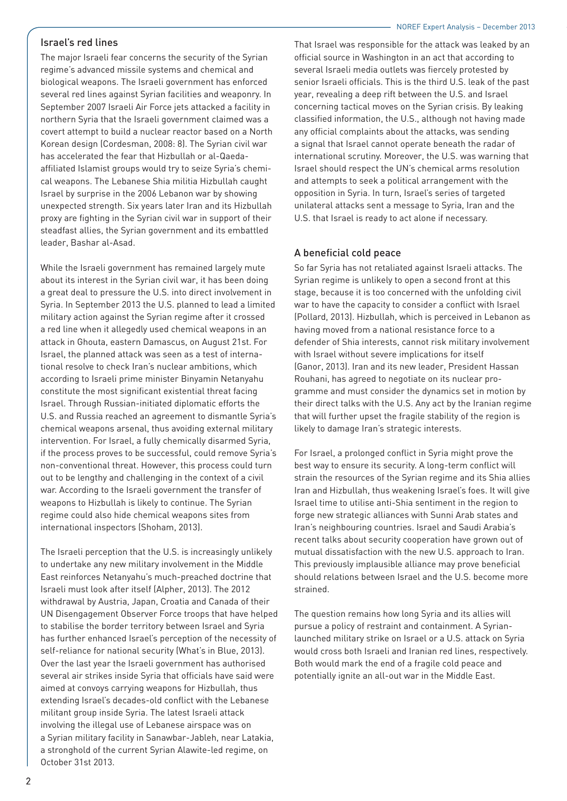#### NOREF Expert Analysis - December 2013

#### Israel's red lines

The major Israeli fear concerns the security of the Syrian regime's advanced missile systems and chemical and biological weapons. The Israeli government has enforced several red lines against Syrian facilities and weaponry. In September 2007 Israeli Air Force jets attacked a facility in northern Syria that the Israeli government claimed was a covert attempt to build a nuclear reactor based on a North Korean design (Cordesman, 2008: 8). The Syrian civil war has accelerated the fear that Hizbullah or al-Qaedaaffiliated Islamist groups would try to seize Syria's chemical weapons. The Lebanese Shia militia Hizbullah caught Israel by surprise in the 2006 Lebanon war by showing unexpected strength. Six years later Iran and its Hizbullah proxy are fighting in the Syrian civil war in support of their steadfast allies, the Syrian government and its embattled leader, Bashar al-Asad.

While the Israeli government has remained largely mute about its interest in the Syrian civil war, it has been doing a great deal to pressure the U.S. into direct involvement in Syria. In September 2013 the U.S. planned to lead a limited military action against the Syrian regime after it crossed a red line when it allegedly used chemical weapons in an attack in Ghouta, eastern Damascus, on August 21st. For Israel, the planned attack was seen as a test of international resolve to check Iran's nuclear ambitions, which according to Israeli prime minister Binyamin Netanyahu constitute the most significant existential threat facing Israel. Through Russian-initiated diplomatic efforts the U.S. and Russia reached an agreement to dismantle Syria's chemical weapons arsenal, thus avoiding external military intervention. For Israel, a fully chemically disarmed Syria, if the process proves to be successful, could remove Syria's non-conventional threat. However, this process could turn out to be lengthy and challenging in the context of a civil war. According to the Israeli government the transfer of weapons to Hizbullah is likely to continue. The Syrian regime could also hide chemical weapons sites from international inspectors (Shoham, 2013).

The Israeli perception that the U.S. is increasingly unlikely to undertake any new military involvement in the Middle East reinforces Netanyahu's much-preached doctrine that Israeli must look after itself (Alpher, 2013). The 2012 withdrawal by Austria, Japan, Croatia and Canada of their UN Disengagement Observer Force troops that have helped to stabilise the border territory between Israel and Syria has further enhanced Israel's perception of the necessity of self-reliance for national security (What's in Blue, 2013). Over the last year the Israeli government has authorised several air strikes inside Syria that officials have said were aimed at convoys carrying weapons for Hizbullah, thus extending Israel's decades-old conflict with the Lebanese militant group inside Syria. The latest Israeli attack involving the illegal use of Lebanese airspace was on a Syrian military facility in Sanawbar-Jableh, near Latakia, a stronghold of the current Syrian Alawite-led regime, on October 31st 2013.

That Israel was responsible for the attack was leaked by an official source in Washington in an act that according to several Israeli media outlets was fiercely protested by senior Israeli officials. This is the third U.S. leak of the past year, revealing a deep rift between the U.S. and Israel concerning tactical moves on the Syrian crisis. By leaking classified information, the U.S., although not having made any official complaints about the attacks, was sending a signal that Israel cannot operate beneath the radar of international scrutiny. Moreover, the U.S. was warning that Israel should respect the UN's chemical arms resolution and attempts to seek a political arrangement with the opposition in Syria. In turn, Israel's series of targeted unilateral attacks sent a message to Syria, Iran and the U.S. that Israel is ready to act alone if necessary.

#### A beneficial cold peace

So far Syria has not retaliated against Israeli attacks. The Syrian regime is unlikely to open a second front at this stage, because it is too concerned with the unfolding civil war to have the capacity to consider a conflict with Israel (Pollard, 2013). Hizbullah, which is perceived in Lebanon as having moved from a national resistance force to a defender of Shia interests, cannot risk military involvement with Israel without severe implications for itself (Ganor, 2013). Iran and its new leader, President Hassan Rouhani, has agreed to negotiate on its nuclear programme and must consider the dynamics set in motion by their direct talks with the U.S. Any act by the Iranian regime that will further upset the fragile stability of the region is likely to damage Iran's strategic interests.

For Israel, a prolonged conflict in Syria might prove the best way to ensure its security. A long-term conflict will strain the resources of the Syrian regime and its Shia allies Iran and Hizbullah, thus weakening Israel's foes. It will give Israel time to utilise anti-Shia sentiment in the region to forge new strategic alliances with Sunni Arab states and Iran's neighbouring countries. Israel and Saudi Arabia's recent talks about security cooperation have grown out of mutual dissatisfaction with the new U.S. approach to Iran. This previously implausible alliance may prove beneficial should relations between Israel and the U.S. become more strained.

The question remains how long Syria and its allies will pursue a policy of restraint and containment. A Syrianlaunched military strike on Israel or a U.S. attack on Syria would cross both Israeli and Iranian red lines, respectively. Both would mark the end of a fragile cold peace and potentially ignite an all-out war in the Middle East.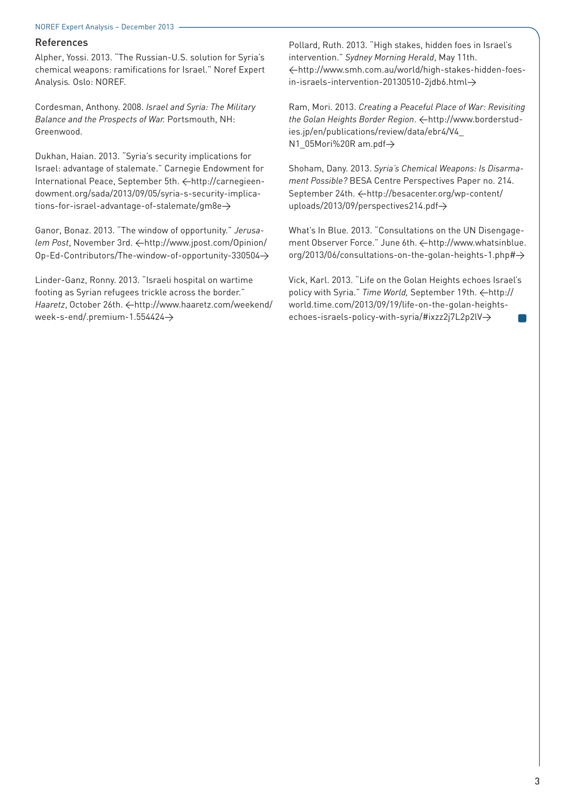#### NOREF Expert Analysis - December 2013

#### References

Alpher, Yossi. 2013. "The Russian-U.S. solution for Syria's chemical weapons: ramifications for Israel." Noref Expert Analysis*.* Oslo: NOREF.

Cordesman, Anthony. 2008. *Israel and Syria: The Military Balance and the Prospects of War.* Portsmouth, NH: Greenwood.

Dukhan, Haian. 2013. "Syria's security implications for Israel: advantage of stalemate." Carnegie Endowment for International Peace, September 5th. <http://carnegieendowment.org/sada/2013/09/05/syria-s-security-implications-for-israel-advantage-of-stalemate/gm8e>

Ganor, Bonaz. 2013. "The window of opportunity." *Jerusalem Post*, November 3rd.  $\leftarrow$ http://www.jpost.com/Opinion/ Op-Ed-Contributors/The-window-of-opportunity-330504>

Linder-Ganz, Ronny. 2013. "Israeli hospital on wartime footing as Syrian refugees trickle across the border." Haaretz, October 26th.  $\leftarrow$ http://www.haaretz.com/weekend/ week-s-end/.premium-1.554424>

Pollard, Ruth. 2013. "High stakes, hidden foes in Israel's intervention." *Sydney Morning Herald*, May 11th. <http://www.smh.com.au/world/high-stakes-hidden-foes $in-$ israels-intervention-20130510-2jdb6.html $\rightarrow$ 

Ram, Mori. 2013. *Creating a Peaceful Place of War: Revisiting*  the Golan Heights Border Region.  $\leftarrow$ http://www.borderstudies.jp/en/publications/review/data/ebr4/V4\_ N1\_05Mori%20R am.pdf $\rightarrow$ 

Shoham, Dany. 2013. *Syria's Chemical Weapons: Is Disarmament Possible?* BESA Centre Perspectives Paper no. 214. September 24th.  $\leftarrow$ http://besacenter.org/wp-content/ uploads/2013/09/perspectives214.pdf $\rightarrow$ 

What's In Blue*.* 2013. "Consultations on the UN Disengagement Observer Force." June 6th.  $\leftarrow$ http://www.whatsinblue.  $org/2013/06/consultations-on-the-golan-heights-1.php\# $\rightarrow$$ 

Vick, Karl. 2013. "Life on the Golan Heights echoes Israel's policy with Syria." Time World, September 19th.  $\leftarrow$ http:// world.time.com/2013/09/19/life-on-the-golan-heightsechoes-israels-policy-with-syria/#ixzz2j7L2p2lV $\rightarrow$